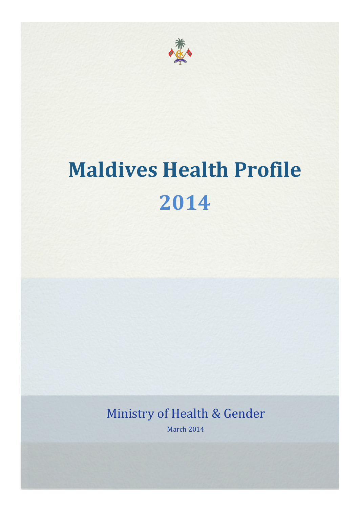

# **Maldives Health Profile 2014**

Ministry of Health & Gender March 2014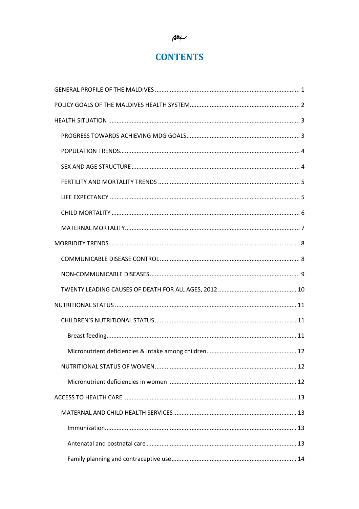# بسيانوانيم

# **CONTENTS**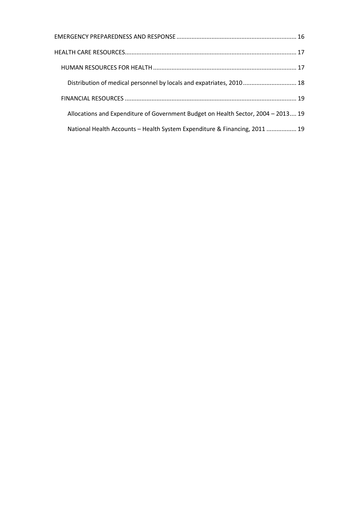| Distribution of medical personnel by locals and expatriates, 2010 18              |
|-----------------------------------------------------------------------------------|
|                                                                                   |
| Allocations and Expenditure of Government Budget on Health Sector, 2004 - 2013 19 |
| National Health Accounts - Health System Expenditure & Financing, 2011  19        |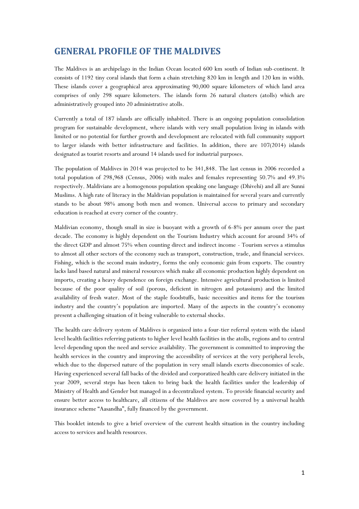# <span id="page-3-0"></span>**GENERAL PROFILE OF THE MALDIVES**

The Maldives is an archipelago in the Indian Ocean located 600 km south of Indian sub-continent. It consists of 1192 tiny coral islands that form a chain stretching 820 km in length and 120 km in width. These islands cover a geographical area approximating 90,000 square kilometers of which land area comprises of only 298 square kilometers. The islands form 26 natural clusters (atolls) which are administratively grouped into 20 administrative atolls.

Currently a total of 187 islands are officially inhabited. There is an ongoing population consolidation program for sustainable development, where islands with very small population living in islands with limited or no potential for further growth and development are relocated with full community support to larger islands with better infrastructure and facilities. In addition, there are 107(2014) islands designated as tourist resorts and around 14 islands used for industrial purposes.

The population of Maldives in 2014 was projected to be 341,848. The last census in 2006 recorded a total population of 298,968 (Census, 2006) with males and females representing 50.7% and 49.3% respectively. Maldivians are a homogenous population speaking one language (Dhivehi) and all are Sunni Muslims. A high rate of literacy in the Maldivian population is maintained for several years and currently stands to be about 98% among both men and women. Universal access to primary and secondary education is reached at every corner of the country.

Maldivian economy, though small in size is buoyant with a growth of 6-8% per annum over the past decade. The economy is highly dependent on the Tourism Industry which account for around 34% of the direct GDP and almost 75% when counting direct and indirect income - Tourism serves a stimulus to almost all other sectors of the economy such as transport, construction, trade, and financial services. Fishing, which is the second main industry, forms the only economic gain from exports. The country lacks land based natural and mineral resources which make all economic production highly dependent on imports, creating a heavy dependence on foreign exchange. Intensive agricultural production is limited because of the poor quality of soil (porous, deficient in nitrogen and potassium) and the limited availability of fresh water. Most of the staple foodstuffs, basic necessities and items for the tourism industry and the country's population are imported. Many of the aspects in the country's economy present a challenging situation of it being vulnerable to external shocks.

The health care delivery system of Maldives is organized into a four-tier referral system with the island level health facilities referring patients to higher level health facilities in the atolls, regions and to central level depending upon the need and service availability. The government is committed to improving the health services in the country and improving the accessibility of services at the very peripheral levels, which due to the dispersed nature of the population in very small islands exerts diseconomies of scale. Having experienced several fall backs of the divided and corporatized health care delivery initiated in the year 2009, several steps has been taken to bring back the health facilities under the leadership of Ministry of Health and Gender but managed in a decentralized system. To provide financial security and ensure better access to healthcare, all citizens of the Maldives are now covered by a universal health insurance scheme "Aasandha", fully financed by the government.

This booklet intends to give a brief overview of the current health situation in the country including access to services and health resources.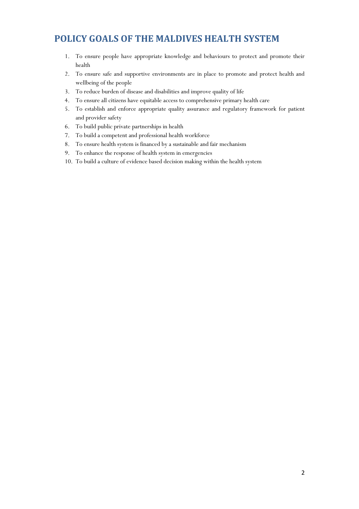# <span id="page-4-0"></span>**POLICY GOALS OF THE MALDIVES HEALTH SYSTEM**

- 1. To ensure people have appropriate knowledge and behaviours to protect and promote their health
- 2. To ensure safe and supportive environments are in place to promote and protect health and wellbeing of the people
- 3. To reduce burden of disease and disabilities and improve quality of life
- 4. To ensure all citizens have equitable access to comprehensive primary health care
- 5. To establish and enforce appropriate quality assurance and regulatory framework for patient and provider safety
- 6. To build public private partnerships in health
- 7. To build a competent and professional health workforce
- 8. To ensure health system is financed by a sustainable and fair mechanism
- 9. To enhance the response of health system in emergencies
- 10. To build a culture of evidence based decision making within the health system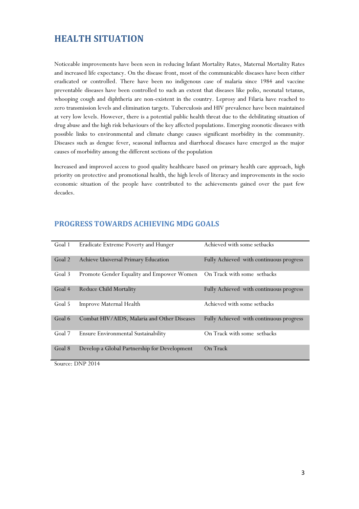# <span id="page-5-0"></span>**HEALTH SITUATION**

Noticeable improvements have been seen in reducing Infant Mortality Rates, Maternal Mortality Rates and increased life expectancy. On the disease front, most of the communicable diseases have been either eradicated or controlled. There have been no indigenous case of malaria since 1984 and vaccine preventable diseases have been controlled to such an extent that diseases like polio, neonatal tetanus, whooping cough and diphtheria are non-existent in the country. Leprosy and Filaria have reached to zero transmission levels and elimination targets. Tuberculosis and HIV prevalence have been maintained at very low levels. However, there is a potential public health threat due to the debilitating situation of drug abuse and the high risk behaviours of the key affected populations. Emerging zoonotic diseases with possible links to environmental and climate change causes significant morbidity in the community. Diseases such as dengue fever, seasonal influenza and diarrhoeal diseases have emerged as the major causes of morbidity among the different sections of the population

Increased and improved access to good quality healthcare based on primary health care approach, high priority on protective and promotional health, the high levels of literacy and improvements in the socio economic situation of the people have contributed to the achievements gained over the past few decades.

## <span id="page-5-1"></span>**PROGRESS TOWARDS ACHIEVING MDG GOALS**

| Goal 1 | Eradicate Extreme Poverty and Hunger         | Achieved with some setbacks             |
|--------|----------------------------------------------|-----------------------------------------|
| Goal 2 | Achieve Universal Primary Education          | Fully Achieved with continuous progress |
| Goal 3 | Promote Gender Equality and Empower Women    | On Track with some setbacks             |
| Goal 4 | Reduce Child Mortality                       | Fully Achieved with continuous progress |
| Goal 5 | Improve Maternal Health                      | Achieved with some setbacks             |
| Goal 6 | Combat HIV/AIDS, Malaria and Other Diseases  | Fully Achieved with continuous progress |
| Goal 7 | Ensure Environmental Sustainability          | On Track with some setbacks             |
| Goal 8 | Develop a Global Partnership for Development | On Track                                |

Source: DNP 2014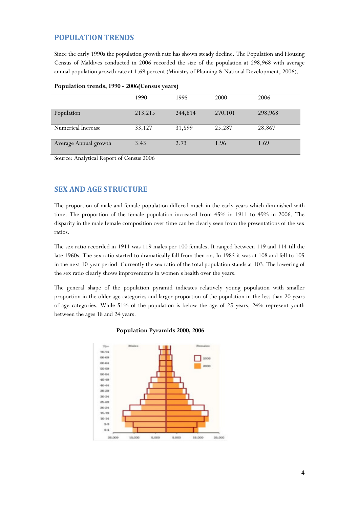## <span id="page-6-0"></span>**POPULATION TRENDS**

Since the early 1990s the population growth rate has shown steady decline. The Population and Housing Census of Maldives conducted in 2006 recorded the size of the population at 298,968 with average annual population growth rate at 1.69 percent (Ministry of Planning & National Development, 2006).

| $\mathbf{r}$          |         |         |         |         |
|-----------------------|---------|---------|---------|---------|
|                       | 1990    | 1995    | 2000    | 2006    |
| Population            | 213,215 | 244,814 | 270,101 | 298,968 |
| Numerical Increase    | 33,127  | 31,599  | 25,287  | 28,867  |
| Average Annual growth | 3.43    | 2.73    | 1.96    | 1.69    |

#### **Population trends, 1990 - 2006(Census years)**

Source: Analytical Report of Census 2006

## <span id="page-6-1"></span>**SEX AND AGE STRUCTURE**

The proportion of male and female population differed much in the early years which diminished with time. The proportion of the female population increased from 45% in 1911 to 49% in 2006. The disparity in the male female composition over time can be clearly seen from the presentations of the sex ratios.

The sex ratio recorded in 1911 was 119 males per 100 females. It ranged between 119 and 114 till the late 1960s. The sex ratio started to dramatically fall from then on. In 1985 it was at 108 and fell to 105 in the next 10-year period. Currently the sex ratio of the total population stands at 103. The lowering of the sex ratio clearly shows improvements in women's health over the years.

The general shape of the population pyramid indicates relatively young population with smaller proportion in the older age categories and larger proportion of the population in the less than 20 years of age categories. While 51% of the population is below the age of 25 years, 24% represent youth between the ages 18 and 24 years.



#### **Population Pyramids 2000, 2006**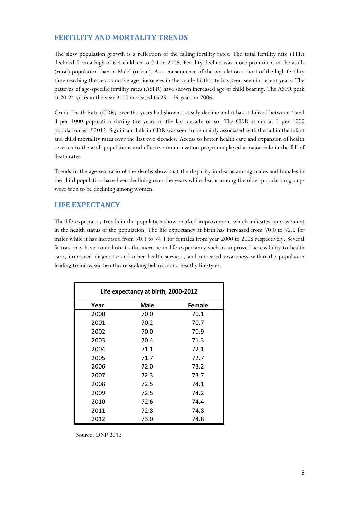## <span id="page-7-0"></span>**FERTILITY AND MORTALITY TRENDS**

The slow population growth is a reflection of the falling fertility rates. The total fertility rate (TFR) declined from a high of 6.4 children to 2.1 in 2006. Fertility decline was more prominent in the atolls (rural) population than in Male' (urban). As a consequence of the population cohort of the high fertility time reaching the reproductive age, increases in the crude birth rate has been seen in recent years. The patterns of age-specific fertility rates (ASFR) have shown increased age of child bearing. The ASFR peak at 20-24 years in the year 2000 increased to  $25 - 29$  years in 2006.

Crude Death Rate (CDR) over the years had shown a steady decline and it has stabilized between 4 and 3 per 1000 population during the years of the last decade or so. The CDR stands at 3 per 1000 population as of 2012. Significant falls in CDR was seen to be mainly associated with the fall in the infant and child mortality rates over the last two decades. Access to better health care and expansion of health services to the atoll populations and effective immunization programs played a major role in the fall of death rates

Trends in the age sex ratio of the deaths show that the disparity in deaths among males and females in the child population have been declining over the years while deaths among the older population groups were seen to be declining among women.

#### <span id="page-7-1"></span>**LIFE EXPECTANCY**

The life expectancy trends in the population show marked improvement which indicates improvement in the health status of the population. The life expectancy at birth has increased from 70.0 to 72.5 for males while it has increased from 70.1 to 74.1 for females from year 2000 to 2008 respectively. Several factors may have contribute to the increase in life expectancy such as improved accessibility to health care, improved diagnostic and other health services, and increased awareness within the population leading to increased healthcare seeking behavior and healthy lifestyles.

| Life expectancy at birth, 2000-2012 |      |        |  |  |  |  |  |
|-------------------------------------|------|--------|--|--|--|--|--|
| Year                                | Male | Female |  |  |  |  |  |
| 2000                                | 70.0 | 70.1   |  |  |  |  |  |
| 2001                                | 70.2 | 70.7   |  |  |  |  |  |
| 2002                                | 70.0 | 70.9   |  |  |  |  |  |
| 2003                                | 70.4 | 71.3   |  |  |  |  |  |
| 2004                                | 71.1 | 72.1   |  |  |  |  |  |
| 2005                                | 71.7 | 72.7   |  |  |  |  |  |
| 2006                                | 72.0 | 73.2   |  |  |  |  |  |
| 2007                                | 72.3 | 73.7   |  |  |  |  |  |
| 2008                                | 72.5 | 74.1   |  |  |  |  |  |
| 2009                                | 72.5 | 74.2   |  |  |  |  |  |
| 2010                                | 72.6 | 74.4   |  |  |  |  |  |
| 2011                                | 72.8 | 74.8   |  |  |  |  |  |
| 2012                                | 73.0 | 74.8   |  |  |  |  |  |

Source: DNP 2013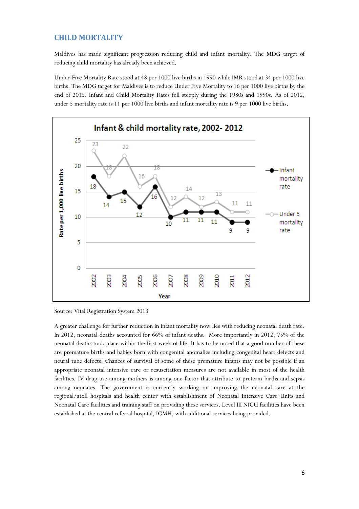## <span id="page-8-0"></span>**CHILD MORTALITY**

Maldives has made significant progression reducing child and infant mortality. The MDG target of reducing child mortality has already been achieved.

Under-Five Mortality Rate stood at 48 per 1000 live births in 1990 while IMR stood at 34 per 1000 live births. The MDG target for Maldives is to reduce Under Five Mortality to 16 per 1000 live births by the end of 2015. Infant and Child Mortality Rates fell steeply during the 1980s and 1990s. As of 2012, under 5 mortality rate is 11 per 1000 live births and infant mortality rate is 9 per 1000 live births.



Source: Vital Registration System 2013

A greater challenge for further reduction in infant mortality now lies with reducing neonatal death rate. In 2012, neonatal deaths accounted for 66% of infant deaths. More importantly in 2012, 75% of the neonatal deaths took place within the first week of life. It has to be noted that a good number of these are premature births and babies born with congenital anomalies including congenital heart defects and neural tube defects. Chances of survival of some of these premature infants may not be possible if an appropriate neonatal intensive care or resuscitation measures are not available in most of the health facilities. IV drug use among mothers is among one factor that attribute to preterm births and sepsis among neonates. The government is currently working on improving the neonatal care at the regional/atoll hospitals and health center with establishment of Neonatal Intensive Care Units and Neonatal Care facilities and training staff on providing these services. Level III NICU facilities have been established at the central referral hospital, IGMH, with additional services being provided.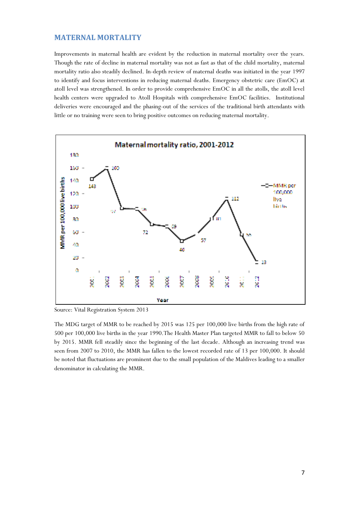### <span id="page-9-0"></span>**MATERNAL MORTALITY**

Improvements in maternal health are evident by the reduction in maternal mortality over the years. Though the rate of decline in maternal mortality was not as fast as that of the child mortality, maternal mortality ratio also steadily declined. In-depth review of maternal deaths was initiated in the year 1997 to identify and focus interventions in reducing maternal deaths. Emergency obstetric care (EmOC) at atoll level was strengthened. In order to provide comprehensive EmOC in all the atolls, the atoll level health centers were upgraded to Atoll Hospitals with comprehensive EmOC facilities. Institutional deliveries were encouraged and the phasing-out of the services of the traditional birth attendants with little or no training were seen to bring positive outcomes on reducing maternal mortality.



Source: Vital Registration System 2013

The MDG target of MMR to be reached by 2015 was 125 per 100,000 live births from the high rate of 500 per 100,000 live births in the year 1990.The Health Master Plan targeted MMR to fall to below 50 by 2015. MMR fell steadily since the beginning of the last decade. Although an increasing trend was seen from 2007 to 2010, the MMR has fallen to the lowest recorded rate of 13 per 100,000. It should be noted that fluctuations are prominent due to the small population of the Maldives leading to a smaller denominator in calculating the MMR.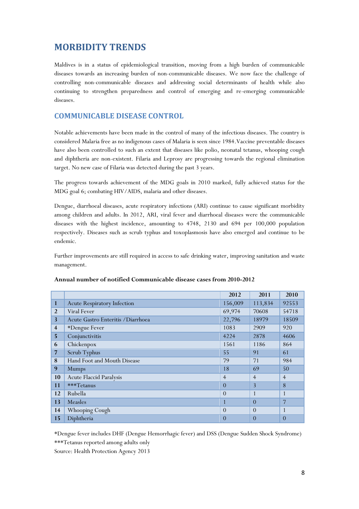# <span id="page-10-0"></span>**MORBIDITY TRENDS**

Maldives is in a status of epidemiological transition, moving from a high burden of communicable diseases towards an increasing burden of non-communicable diseases. We now face the challenge of controlling non-communicable diseases and addressing social determinants of health while also continuing to strengthen preparedness and control of emerging and re-emerging communicable diseases.

### <span id="page-10-1"></span>**COMMUNICABLE DISEASE CONTROL**

Notable achievements have been made in the control of many of the infectious diseases. The country is considered Malaria free as no indigenous cases of Malaria is seen since 1984.Vaccine preventable diseases have also been controlled to such an extent that diseases like polio, neonatal tetanus, whooping cough and diphtheria are non-existent. Filaria and Leprosy are progressing towards the regional elimination target. No new case of Filaria was detected during the past 3 years.

The progress towards achievement of the MDG goals in 2010 marked, fully achieved status for the MDG goal 6; combating HIV/AIDS, malaria and other diseases.

Dengue, diarrhoeal diseases, acute respiratory infections (ARI) continue to cause significant morbidity among children and adults. In 2012, ARI, viral fever and diarrhoeal diseases were the communicable diseases with the highest incidence, amounting to 4748, 2130 and 694 per 100,000 population respectively. Diseases such as scrub typhus and toxoplasmosis have also emerged and continue to be endemic.

Further improvements are still required in access to safe drinking water, improving sanitation and waste management.

|                         |                                    | 2012           | 2011           | 2010           |
|-------------------------|------------------------------------|----------------|----------------|----------------|
| 1                       | <b>Acute Respiratory Infection</b> | 156,009        | 113,834        | 92553          |
| $\overline{2}$          | <b>Viral Fever</b>                 | 69,974         | 70608          | 54718          |
| $\overline{\mathbf{3}}$ | Acute Gastro Enteritis / Diarrhoea | 22,796         | 18979          | 18509          |
| $\overline{\mathbf{4}}$ | *Dengue Fever                      | 1083           | 2909           | 920            |
| 5.                      | Conjunctivitis                     | 4224           | 2878           | 4606           |
| 6                       | Chickenpox                         | 1561           | 1186           | 864            |
| 7                       | Scrub Typhus                       | 55             | 91             | 61             |
| 8                       | Hand Foot and Mouth Disease        | 79             | 71             | 984            |
| 9                       | <b>Mumps</b>                       | 18             | 69             | 50             |
| 10                      | <b>Acute Flaccid Paralysis</b>     | $\overline{4}$ | $\overline{4}$ | $\overline{4}$ |
| 11                      | ***Tetanus                         | $\theta$       | 3              | 8              |
| 12                      | Rubella                            | $\theta$       | $\mathbf{1}$   | $\mathbf{1}$   |
| 13                      | Measles                            |                | $\Omega$       | 7              |
| 14                      | Whooping Cough                     | $\theta$       | $\theta$       | $\mathbf{1}$   |
| 15                      | Diphtheria                         | $\theta$       | $\theta$       | $\Omega$       |

#### **Annual number of notified Communicable disease cases from 2010-20122**

\*Dengue fever includes DHF (Dengue Hemorrhagic fever) and DSS (Dengue Sudden Shock Syndrome) \*\*\*Tetanus reported among adults only

Source: Health Protection Agency 2013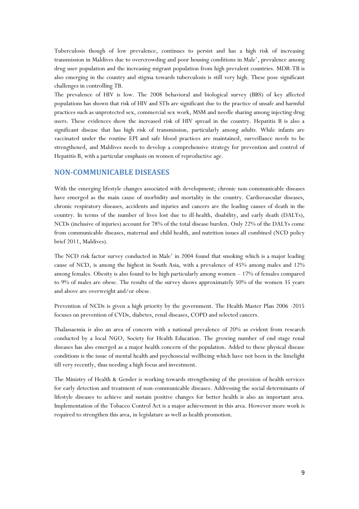Tuberculosis though of low prevalence, continues to persist and has a high risk of increasing transmission in Maldives due to overcrowding and poor housing conditions in Male', prevalence among drug user population and the increasing migrant population from high prevalent countries. MDR-TB is also emerging in the country and stigma towards tuberculosis is still very high. These pose significant challenges in controlling TB.

The prevalence of HIV is low. The 2008 behavioral and biological survey (BBS) of key affected populations has shown that risk of HIV and STIs are significant due to the practice of unsafe and harmful practices such as unprotected sex, commercial sex work, MSM and needle sharing among injecting drug users. These evidences show the increased risk of HIV spread in the country. Hepatitis B is also a significant disease that has high risk of transmission, particularly among adults. While infants are vaccinated under the routine EPI and safe blood practices are maintained, surveillance needs to be strengthened, and Maldives needs to develop a comprehensive strategy for prevention and control of Hepatitis B, with a particular emphasis on women of reproductive age.

#### <span id="page-11-0"></span>**NON-COMMUNICABLE DISEASES**

With the emerging lifestyle changes associated with development; chronic non-communicable diseases have emerged as the main cause of morbidity and mortality in the country. Cardiovascular diseases, chronic respiratory diseases, accidents and injuries and cancers are the leading causes of death in the country. In terms of the number of lives lost due to ill-health, disability, and early death (DALYs), NCDs (inclusive of injuries) account for 78% of the total disease burden. Only 22% of the DALYs come from communicable diseases, maternal and child health, and nutrition issues all combined (NCD policy brief 2011, Maldives).

The NCD risk factor survey conducted in Male' in 2004 found that smoking which is a major leading cause of NCD, is among the highest in South Asia, with a prevalence of 45% among males and 12% among females. Obesity is also found to be high particularly among women – 17% of females compared to 9% of males are obese. The results of the survey shows approximately 50% of the women 35 years and above are overweight and/or obese.

Prevention of NCDs is given a high priority by the government. The Health Master Plan 2006 -2015 focuses on prevention of CVDs, diabetes, renal diseases, COPD and selected cancers.

Thalassaemia is also an area of concern with a national prevalence of 20% as evident from research conducted by a local NGO, Society for Health Education. The growing number of end stage renal diseases has also emerged as a major health concern of the population. Added to these physical disease conditions is the issue of mental health and psychosocial wellbeing which have not been in the limelight till very recently, thus needing a high focus and investment.

The Ministry of Health & Gender is working towards strengthening of the provision of health services for early detection and treatment of non-communicable diseases. Addressing the social determinants of lifestyle diseases to achieve and sustain positive changes for better health is also an important area. Implementation of the Tobacco Control Act is a major achievement in this area. However more work is required to strengthen this area, in legislature as well as health promotion.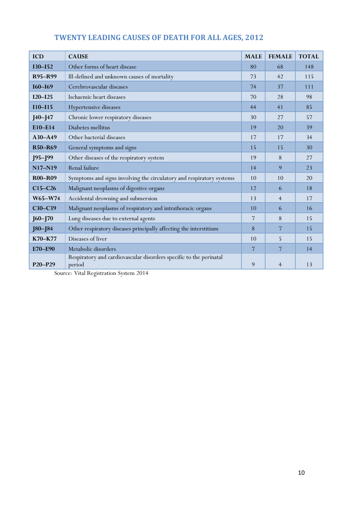| <b>ICD</b>                       | <b>CAUSE</b>                                                                 | <b>MALE</b> | <b>FEMALE</b>  | <b>TOTAL</b> |
|----------------------------------|------------------------------------------------------------------------------|-------------|----------------|--------------|
| $I30 - I52$                      | Other forms of heart disease                                                 | 80          | 68             | 148          |
| R95-R99                          | Ill-defined and unknown causes of mortality                                  | 73          | 42             | 115          |
| $I60 - I69$                      | Cerebrovascular diseases                                                     | 74          | 37             | 111          |
| $I20 - I25$                      | Ischaemic heart diseases                                                     | 70          | 28             | 98           |
| $I10 - I15$                      | Hypertensive diseases                                                        | 44          | 41             | 85           |
| $J40-J47$                        | Chronic lower respiratory diseases                                           | 30          | 27             | 57           |
| E10-E14                          | Diabetes mellitus                                                            | 19          | 20             | 39           |
| A30-A49                          | Other bacterial diseases                                                     | 17          | 17             | 34           |
| R50-R69                          | General symptoms and signs                                                   | 15          | 15             | 30           |
| $J95 - J99$                      | Other diseases of the respiratory system                                     | 19          | 8              | 27           |
| N17-N19                          | Renal failure                                                                | 14          | 9              | 23           |
| <b>R00-R09</b>                   | Symptoms and signs involving the circulatory and respiratory systems         | 10          | 10             | 20           |
| $C15-C26$                        | Malignant neoplasms of digestive organs                                      | 12          | 6              | 18           |
| W65-W74                          | Accidental drowning and submersion                                           | 13          | $\overline{4}$ | 17           |
| C30-C39                          | Malignant neoplasms of respiratory and intrathoracic organs                  | 10          | 6              | 16           |
| $J60 - J70$                      | Lung diseases due to external agents                                         | 7           | 8              | 15           |
| $J80 - J84$                      | Other respiratory diseases principally affecting the interstitium            | 8           | 7              | 15           |
| K70-K77                          | Diseases of liver                                                            | 10          | 5              | 15           |
| E70-E90                          | Metabolic disorders                                                          | 7           | 7              | 14           |
| P <sub>20</sub> -P <sub>29</sub> | Respiratory and cardiovascular disorders specific to the perinatal<br>period | 9           | $\overline{4}$ | 13           |

# <span id="page-12-0"></span>**TWENTY LEADING CAUSES OF DEATH FOR ALL AGES, 2012**

Source: Vital Registration System 2014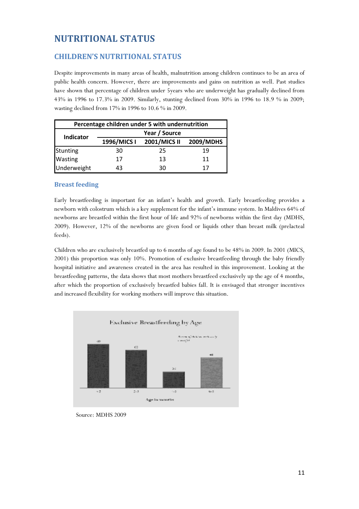# <span id="page-13-0"></span>**NUTRITIONAL STATUS**

## <span id="page-13-1"></span>**CHILDREN'S NUTRITIONAL STATUS**

Despite improvements in many areas of health, malnutrition among children continues to be an area of public health concern. However, there are improvements and gains on nutrition as well. Past studies have shown that percentage of children under 5years who are underweight has gradually declined from 43% in 1996 to 17.3% in 2009. Similarly, stunting declined from 30% in 1996 to 18.9 % in 2009; wasting declined from 17% in 1996 to 10.6 % in 2009.

| Percentage children under 5 with undernutrition |                                          |    |    |  |  |  |  |  |
|-------------------------------------------------|------------------------------------------|----|----|--|--|--|--|--|
| Indicator                                       | Year / Source                            |    |    |  |  |  |  |  |
|                                                 | 1996/MICS I<br>2001/MICS II<br>2009/MDHS |    |    |  |  |  |  |  |
|                                                 | 30                                       | 25 | 19 |  |  |  |  |  |
| Stunting<br>Wasting                             | 17                                       | 13 | 11 |  |  |  |  |  |
| Underweight                                     | 43                                       | จก | 17 |  |  |  |  |  |

#### <span id="page-13-2"></span>**Breast feeding**

Early breastfeeding is important for an infant's health and growth. Early breastfeeding provides a newborn with colostrum which is a key supplement for the infant's immune system. In Maldives 64% of newborns are breastfed within the first hour of life and 92% of newborns within the first day (MDHS, 2009). However, 12% of the newborns are given food or liquids other than breast milk (prelacteal feeds).

Children who are exclusively breastfed up to 6 months of age found to be 48% in 2009. In 2001 (MICS, 2001) this proportion was only 10%. Promotion of exclusive breastfeeding through the baby friendly hospital initiative and awareness created in the area has resulted in this improvement. Looking at the breastfeeding patterns, the data shows that most mothers breastfeed exclusively up the age of 4 months, after which the proportion of exclusively breastfed babies fall. It is envisaged that stronger incentives and increased flexibility for working mothers will improve this situation.



Source: MDHS 2009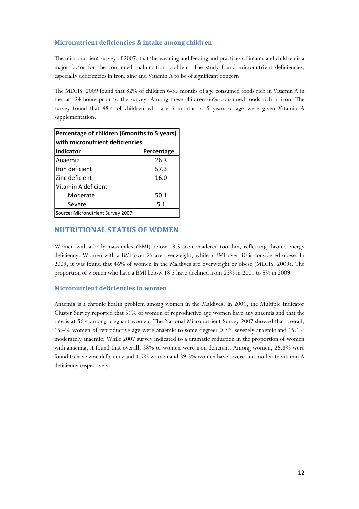#### <span id="page-14-0"></span>**Micronutrient deficiencies & intake among children**

The micronutrient survey of 2007, that the weaning and feeding and practices of infants and children is a major factor for the continued malnutrition problem. The study found micronutrient deficiencies, especially deficiencies in iron, zinc and Vitamin A to be of significant concern.

The MDHS, 2009 found that 82% of children 6-35 months of age consumed foods rich in Vitamin A in the last 24 hours prior to the survey. Among these children 66% consumed foods rich in iron. The survey found that 48% of children who are 6 months to 5 years of age were given Vitamin A supplementation.

| Percentage of children (6months to 5 years) |            |  |  |  |  |  |
|---------------------------------------------|------------|--|--|--|--|--|
| with micronutrient deficiencies             |            |  |  |  |  |  |
| Indicator                                   | Percentage |  |  |  |  |  |
| Anaemia                                     | 26.3       |  |  |  |  |  |
| Iron deficient                              | 57.3       |  |  |  |  |  |
| Zinc deficient                              | 16.0       |  |  |  |  |  |
| Vitamin A deficient                         |            |  |  |  |  |  |
| Moderate                                    | 50.1       |  |  |  |  |  |
| 5.1<br>Severe                               |            |  |  |  |  |  |
| Source: Micronutrient Survey 2007           |            |  |  |  |  |  |

## <span id="page-14-1"></span>**NUTRITIONAL STATUS OF WOMEN**

Women with a body mass index (BMI) below 18.5 are considered too thin, reflecting chronic energy deficiency. Women with a BMI over 25 are overweight, while a BMI over 30 is considered obese. In 2009, it was found that 46% of women in the Maldives are overweight or obese (MDHS, 2009). The proportion of women who have a BMI below 18.5 have declined from 23% in 2001 to 8% in 2009.

#### <span id="page-14-2"></span>**Micronutrient deficiencies in women**

Anaemia is a chronic health problem among women in the Maldives. In 2001, the Multiple Indicator Cluster Survey reported that 51% of women of reproductive age women have any anaemia and that the rate is at 56% among pregnant women. The National Micronutrient Survey 2007 showed that overall, 15.4% women of reproductive age were anaemic to some degree: 0.3% severely anaemic and 15.1% moderately anaemic. While 2007 survey indicated to a dramatic reduction in the proportion of women with anaemia, it found that overall, 38% of women were iron deficient. Among women, 26.8% were found to have zinc deficiency and 4.7% women and 39.3% women have severe and moderate vitamin A deficiency respectively.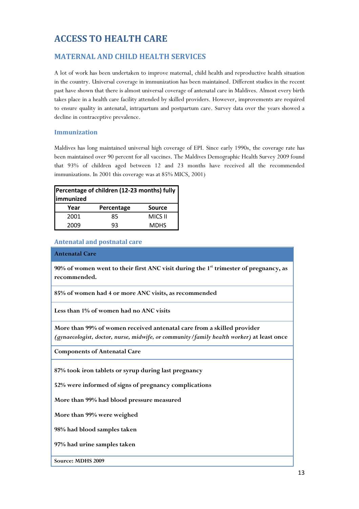# <span id="page-15-0"></span>**ACCESS TO HEALTH CARE**

# <span id="page-15-1"></span>**MATERNAL AND CHILD HEALTH SERVICES**

A lot of work has been undertaken to improve maternal, child health and reproductive health situation in the country. Universal coverage in immunization has been maintained. Different studies in the recent past have shown that there is almost universal coverage of antenatal care in Maldives. Almost every birth takes place in a health care facility attended by skilled providers. However, improvements are required to ensure quality in antenatal, intrapartum and postpartum care. Survey data over the years showed a decline in contraceptive prevalence.

#### <span id="page-15-2"></span>**Immunization**

Maldives has long maintained universal high coverage of EPI. Since early 1990s, the coverage rate has been maintained over 90 percent for all vaccines. The Maldives Demographic Health Survey 2009 found that 93% of children aged between 12 and 23 months have received all the recommended immunizations. In 2001 this coverage was at 85% MICS, 2001)

| Percentage of children (12-23 months) fully<br><b>limmunized</b> |    |             |  |  |  |  |  |  |
|------------------------------------------------------------------|----|-------------|--|--|--|--|--|--|
| Year<br><b>Source</b><br>Percentage                              |    |             |  |  |  |  |  |  |
| 2001                                                             | 85 | MICS II     |  |  |  |  |  |  |
| 2009                                                             | 93 | <b>MDHS</b> |  |  |  |  |  |  |

#### <span id="page-15-3"></span>**Antenatal and postnatal care**

#### **Antenatal Care**

**90% of women went to their first ANC visit during the 1st trimester of pregnancy, as recommended.** 

**85% of women had 4 or more ANC visits, as recommended** 

**Less than 1% of women had no ANC visits** 

**More than 99% of women received antenatal care from a skilled provider**  *(gynaecologist, doctor, nurse, midwife, or community/family health worker)* **at least once** 

**Components of Antenatal Care** 

**87% took iron tablets or syrup during last pregnancy** 

**52% were informed of signs of pregnancy complications** 

**More than 99% had blood pressure measured** 

**More than 99% were weighed** 

**98% had blood samples taken** 

**97% had urine samples taken** 

**Source: MDHS 2009**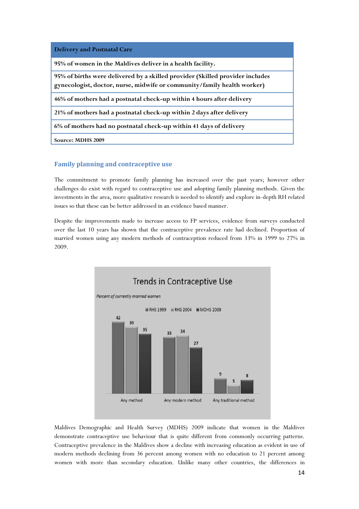

#### <span id="page-16-0"></span>**Family planning and contraceptive use**

The commitment to promote family planning has increased over the past years; however other challenges do exist with regard to contraceptive use and adopting family planning methods. Given the investments in the area, more qualitative research is needed to identify and explore in-depth RH related issues so that these can be better addressed in an evidence based manner.

Despite the improvements made to increase access to FP services, evidence from surveys conducted over the last 10 years has shown that the contraceptive prevalence rate had declined. Proportion of married women using any modern methods of contraception reduced from 33% in 1999 to 27% in 2009.



Maldives Demographic and Health Survey (MDHS) 2009 indicate that women in the Maldives demonstrate contraceptive use behaviour that is quite different from commonly occurring patterns. Contraceptive prevalence in the Maldives show a decline with increasing education as evident in use of modern methods declining from 36 percent among women with no education to 21 percent among women with more than secondary education. Unlike many other countries, the differences in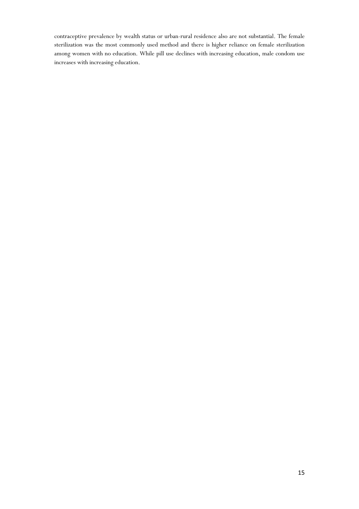contraceptive prevalence by wealth status or urban-rural residence also are not substantial. The female sterilization was the most commonly used method and there is higher reliance on female sterilization among women with no education. While pill use declines with increasing education, male condom use increases with increasing education.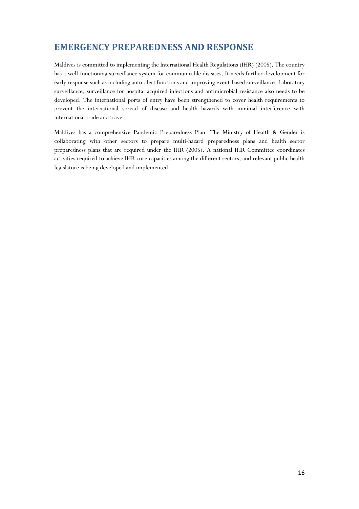# <span id="page-18-0"></span>**EMERGENCY PREPAREDNESS AND RESPONSE**

Maldives is committed to implementing the International Health Regulations (IHR) (2005). The country has a well-functioning surveillance system for communicable diseases. It needs further development for early response such as including auto-alert functions and improving event-based surveillance. Laboratory surveillance, surveillance for hospital acquired infections and antimicrobial resistance also needs to be developed. The international ports of entry have been strengthened to cover health requirements to prevent the international spread of disease and health hazards with minimal interference with international trade and travel.

Maldives has a comprehensive Pandemic Preparedness Plan. The Ministry of Health & Gender is collaborating with other sectors to prepare multi-hazard preparedness plans and health sector preparedness plans that are required under the IHR (2005). A national IHR Committee coordinates activities required to achieve IHR core capacities among the different sectors, and relevant public health legislature is being developed and implemented.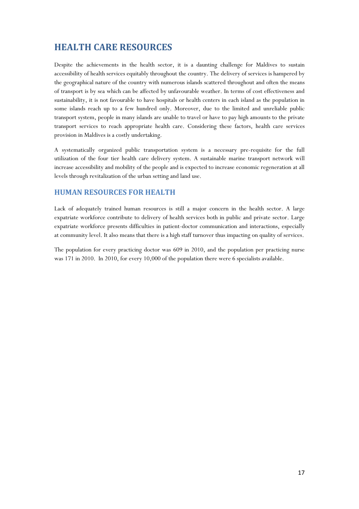# <span id="page-19-0"></span>**HEALTH CARE RESOURCES**

Despite the achievements in the health sector, it is a daunting challenge for Maldives to sustain accessibility of health services equitably throughout the country. The delivery of services is hampered by the geographical nature of the country with numerous islands scattered throughout and often the means of transport is by sea which can be affected by unfavourable weather. In terms of cost effectiveness and sustainability, it is not favourable to have hospitals or health centers in each island as the population in some islands reach up to a few hundred only. Moreover, due to the limited and unreliable public transport system, people in many islands are unable to travel or have to pay high amounts to the private transport services to reach appropriate health care. Considering these factors, health care services provision in Maldives is a costly undertaking.

A systematically organized public transportation system is a necessary pre-requisite for the full utilization of the four tier health care delivery system. A sustainable marine transport network will increase accessibility and mobility of the people and is expected to increase economic regeneration at all levels through revitalization of the urban setting and land use.

## <span id="page-19-1"></span>**HUMAN RESOURCES FOR HEALTH**

Lack of adequately trained human resources is still a major concern in the health sector. A large expatriate workforce contribute to delivery of health services both in public and private sector. Large expatriate workforce presents difficulties in patient-doctor communication and interactions, especially at community level. It also means that there is a high staff turnover thus impacting on quality of services.

The population for every practicing doctor was 609 in 2010, and the population per practicing nurse was 171 in 2010. In 2010, for every 10,000 of the population there were 6 specialists available.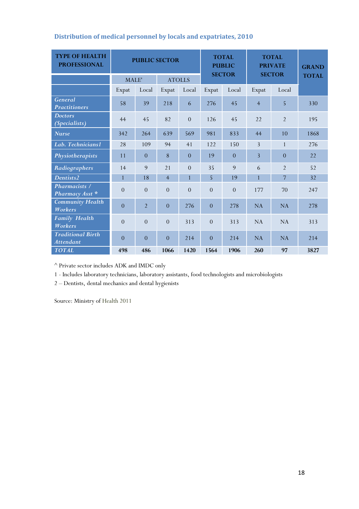| <b>TYPE OF HEALTH</b><br><b>PROFESSIONAL</b> |                | <b>PUBLIC SECTOR</b> |                | <b>TOTAL</b><br><b>PUBLIC</b><br><b>SECTOR</b> |                | <b>TOTAL</b><br><b>PRIVATE</b> |                | <b>GRAND</b>   |              |
|----------------------------------------------|----------------|----------------------|----------------|------------------------------------------------|----------------|--------------------------------|----------------|----------------|--------------|
|                                              | MALE'          |                      |                | <b>ATOLLS</b>                                  |                |                                | <b>SECTOR</b>  |                | <b>TOTAL</b> |
|                                              | Expat          | Local                | Expat          | Local                                          | Expat          | Local                          | Expat          | Local          |              |
| <b>General</b><br><b>Practitioners</b>       | 58             | 39                   | 218            | 6                                              | 276            | 45                             | $\overline{4}$ | 5              | 330          |
| <b>Doctors</b><br><i>(Specialists)</i>       | 44             | 45                   | 82             | $\overline{0}$                                 | 126            | 45                             | 22             | $\overline{2}$ | 195          |
| <b>Nurse</b>                                 | 342            | 264                  | 639            | 569                                            | 981            | 833                            | 44             | 10             | 1868         |
| Lab. Technicians1                            | 28             | 109                  | 94             | 41                                             | 122            | 150                            | 3              | $\mathbf{1}$   | 276          |
| Physiotherapists                             | 11             | $\Omega$             | 8              | $\overline{0}$                                 | 19             | $\Omega$                       | 3              | $\overline{0}$ | 22           |
| Radiographers                                | 14             | $\mathbf{Q}$         | 21             | $\overline{0}$                                 | 35             | $\mathbf{Q}$                   | 6              | $\overline{2}$ | 52           |
| Dentists2                                    | $\mathbf{1}$   | 18                   | $\overline{4}$ | $\mathbf{1}$                                   | 5              | 19                             | $\mathbf{1}$   | 7              | 32           |
| Pharmacists /<br>Pharmacy Asst *             | $\overline{0}$ | $\overline{0}$       | $\overline{0}$ | $\overline{0}$                                 | $\overline{0}$ | $\overline{0}$                 | 177            | 70             | 247          |
| <b>Community Health</b><br><b>Workers</b>    | $\overline{0}$ | $\overline{2}$       | $\overline{0}$ | 276                                            | $\overline{0}$ | 278                            | NA             | NA             | 278          |
| <b>Family Health</b><br>Workers              | $\overline{0}$ | $\overline{0}$       | $\overline{0}$ | 313                                            | $\overline{0}$ | 313                            | NA             | NA             | 313          |
| <b>Traditional Birth</b><br>Attendant        | $\overline{0}$ | $\Omega$             | $\overline{0}$ | 214                                            | $\overline{0}$ | 214                            | NA             | NA             | 214          |
| <b>TOTAL</b>                                 | 498            | 486                  | 1066           | 1420                                           | 1564           | 1906                           | 260            | 97             | 3827         |

## <span id="page-20-0"></span>**Distribution of medical personnel by locals and expatriates, 2010**

 $^\wedge$  Private sector includes ADK and IMDC only

1 - Includes laboratory technicians, laboratory assistants, food technologists and microbiologists

2 – Dentists, dental mechanics and dental hygienists

Source: Ministry of Health 2011